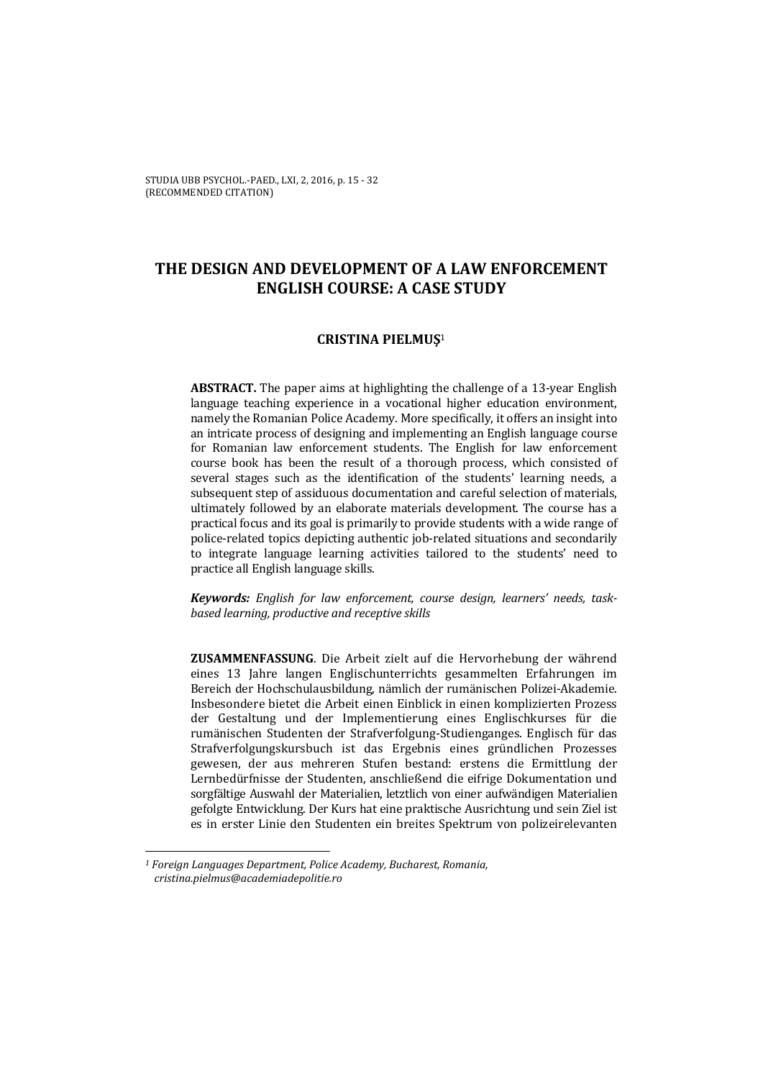# **THE DESIGN AND DEVELOPMENT OF A LAW ENFORCEMENT ENGLISH COURSE: A CASE STUDY**

### **CRISTINA PIELMUŞ**<sup>1</sup>

**ABSTRACT.** The paper aims at highlighting the challenge of a 13-year English language teaching experience in a vocational higher education environment, namely the Romanian Police Academy. More specifically, it offers an insight into an intricate process of designing and implementing an English language course for Romanian law enforcement students. The English for law enforcement course book has been the result of a thorough process, which consisted of several stages such as the identification of the students' learning needs, a subsequent step of assiduous documentation and careful selection of materials, ultimately followed by an elaborate materials development. The course has a practical focus and its goal is primarily to provide students with a wide range of police-related topics depicting authentic job-related situations and secondarily to integrate language learning activities tailored to the students' need to practice all English language skills.

*Keywords: English for law enforcement, course design, learners' needs, taskbased learning, productive and receptive skills*

**ZUSAMMENFASSUNG**. Die Arbeit zielt auf die Hervorhebung der während eines 13 Jahre langen Englischunterrichts gesammelten Erfahrungen im Bereich der Hochschulausbildung, nämlich der rumänischen Polizei-Akademie. Insbesondere bietet die Arbeit einen Einblick in einen komplizierten Prozess der Gestaltung und der Implementierung eines Englischkurses für die rumänischen Studenten der Strafverfolgung-Studienganges. Englisch für das Strafverfolgungskursbuch ist das Ergebnis eines gründlichen Prozesses gewesen, der aus mehreren Stufen bestand: erstens die Ermittlung der Lernbedürfnisse der Studenten, anschließend die eifrige Dokumentation und sorgfältige Auswahl der Materialien, letztlich von einer aufwändigen Materialien gefolgte Entwicklung. Der Kurs hat eine praktische Ausrichtung und sein Ziel ist es in erster Linie den Studenten ein breites Spektrum von polizeirelevanten

 $\overline{a}$ 

*<sup>1</sup> Foreign Languages Department, Police Academy, Bucharest, Romania, cristina.pielmus@academiadepolitie.ro*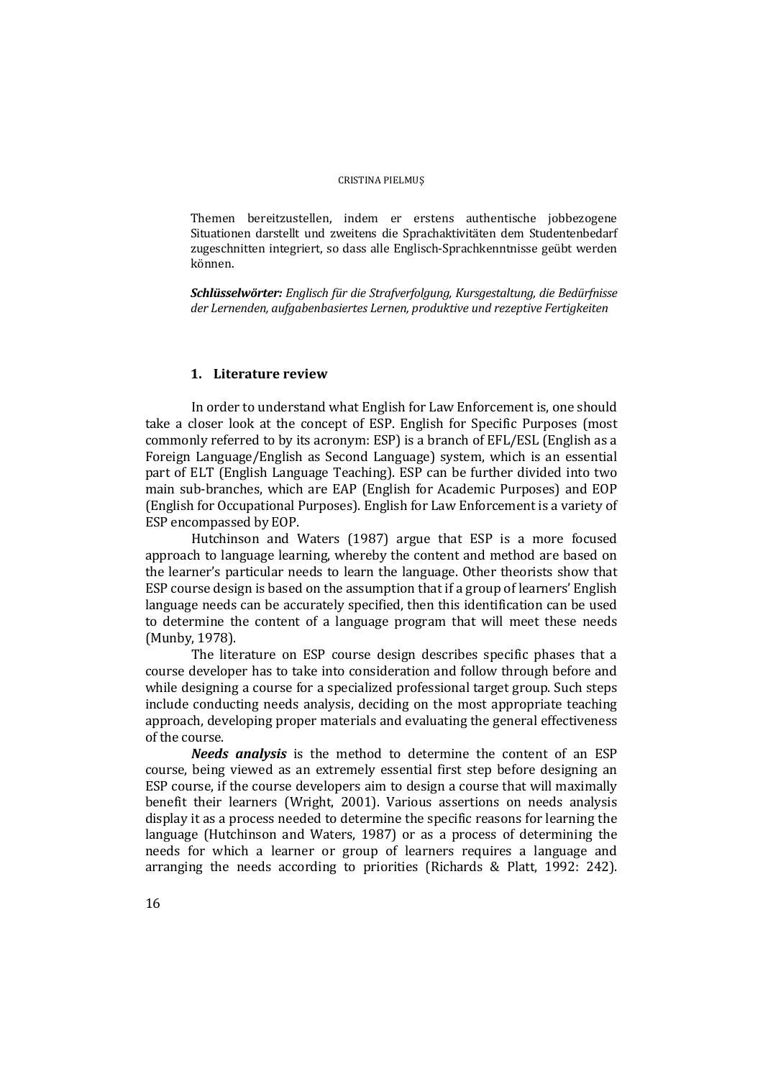Themen bereitzustellen, indem er erstens authentische jobbezogene Situationen darstellt und zweitens die Sprachaktivitäten dem Studentenbedarf zugeschnitten integriert, so dass alle Englisch-Sprachkenntnisse geübt werden können.

*Schlüsselwörter: Englisch für die Strafverfolgung, Kursgestaltung, die Bedürfnisse der Lernenden, aufgabenbasiertes Lernen, produktive und rezeptive Fertigkeiten*

# **1. Literature review**

 In order to understand what English for Law Enforcement is, one should take a closer look at the concept of ESP. English for Specific Purposes (most commonly referred to by its acronym: ESP) is a branch of EFL/ESL (English as a Foreign Language/English as Second Language) system, which is an essential part of ELT (English Language Teaching). ESP can be further divided into two main sub-branches, which are EAP (English for Academic Purposes) and EOP (English for Occupational Purposes). English for Law Enforcement is a variety of ESP encompassed by EOP.

 Hutchinson and Waters (1987) argue that ESP is a more focused approach to language learning, whereby the content and method are based on the learner's particular needs to learn the language. Other theorists show that ESP course design is based on the assumption that if a group of learners' English language needs can be accurately specified, then this identification can be used to determine the content of a language program that will meet these needs (Munby, 1978).

 The literature on ESP course design describes specific phases that a course developer has to take into consideration and follow through before and while designing a course for a specialized professional target group. Such steps include conducting needs analysis, deciding on the most appropriate teaching approach, developing proper materials and evaluating the general effectiveness of the course.

*Needs analysis* is the method to determine the content of an ESP course, being viewed as an extremely essential first step before designing an ESP course, if the course developers aim to design a course that will maximally benefit their learners (Wright, 2001). Various assertions on needs analysis display it as a process needed to determine the specific reasons for learning the language (Hutchinson and Waters, 1987) or as a process of determining the needs for which a learner or group of learners requires a language and arranging the needs according to priorities (Richards & Platt, 1992: 242).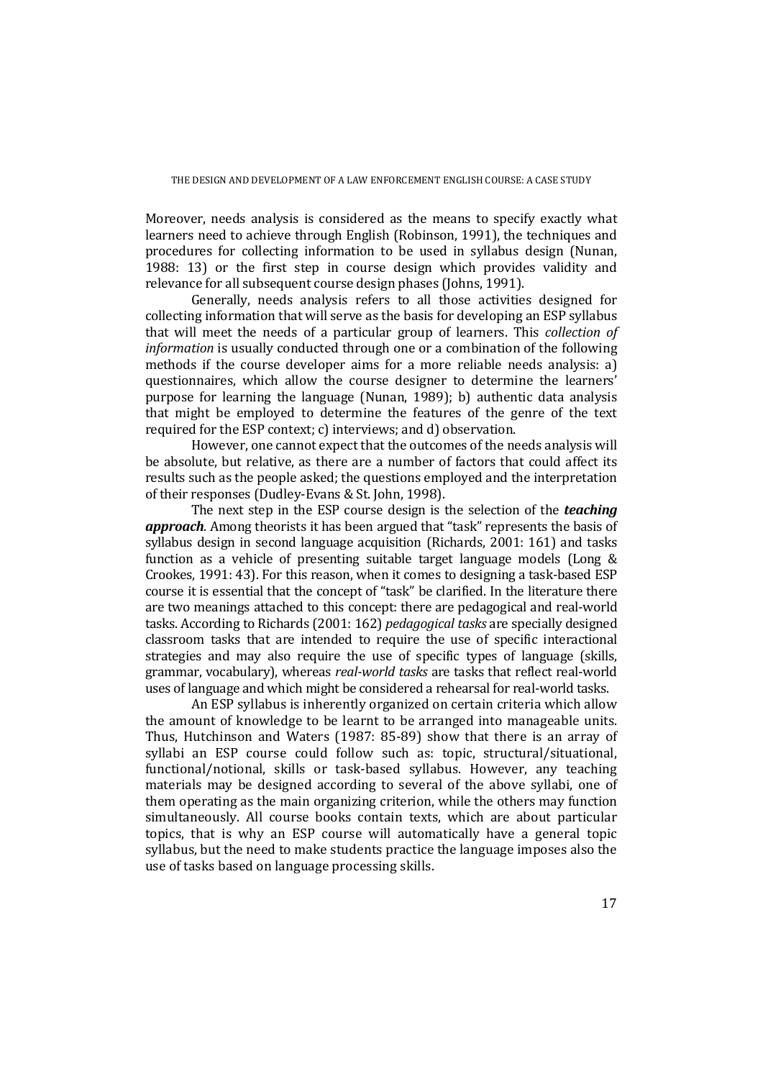Moreover, needs analysis is considered as the means to specify exactly what learners need to achieve through English (Robinson, 1991), the techniques and procedures for collecting information to be used in syllabus design (Nunan, 1988: 13) or the first step in course design which provides validity and relevance for all subsequent course design phases (Johns, 1991).

 Generally, needs analysis refers to all those activities designed for collecting information that will serve as the basis for developing an ESP syllabus that will meet the needs of a particular group of learners. This *collection of information* is usually conducted through one or a combination of the following methods if the course developer aims for a more reliable needs analysis: a) questionnaires, which allow the course designer to determine the learners' purpose for learning the language (Nunan, 1989); b) authentic data analysis that might be employed to determine the features of the genre of the text required for the ESP context; c) interviews; and d) observation.

 However, one cannot expect that the outcomes of the needs analysis will be absolute, but relative, as there are a number of factors that could affect its results such as the people asked; the questions employed and the interpretation of their responses (Dudley-Evans & St. John, 1998).

 The next step in the ESP course design is the selection of the *teaching approach*. Among theorists it has been argued that "task" represents the basis of syllabus design in second language acquisition (Richards, 2001: 161) and tasks function as a vehicle of presenting suitable target language models (Long & Crookes, 1991: 43). For this reason, when it comes to designing a task-based ESP course it is essential that the concept of "task" be clarified. In the literature there are two meanings attached to this concept: there are pedagogical and real-world tasks. According to Richards (2001: 162) *pedagogical tasks* are specially designed classroom tasks that are intended to require the use of specific interactional strategies and may also require the use of specific types of language (skills, grammar, vocabulary), whereas *real-world tasks* are tasks that reflect real-world uses of language and which might be considered a rehearsal for real-world tasks.

 An ESP syllabus is inherently organized on certain criteria which allow the amount of knowledge to be learnt to be arranged into manageable units. Thus, Hutchinson and Waters (1987: 85-89) show that there is an array of syllabi an ESP course could follow such as: topic, structural/situational, functional/notional, skills or task-based syllabus. However, any teaching materials may be designed according to several of the above syllabi, one of them operating as the main organizing criterion, while the others may function simultaneously. All course books contain texts, which are about particular topics, that is why an ESP course will automatically have a general topic syllabus, but the need to make students practice the language imposes also the use of tasks based on language processing skills.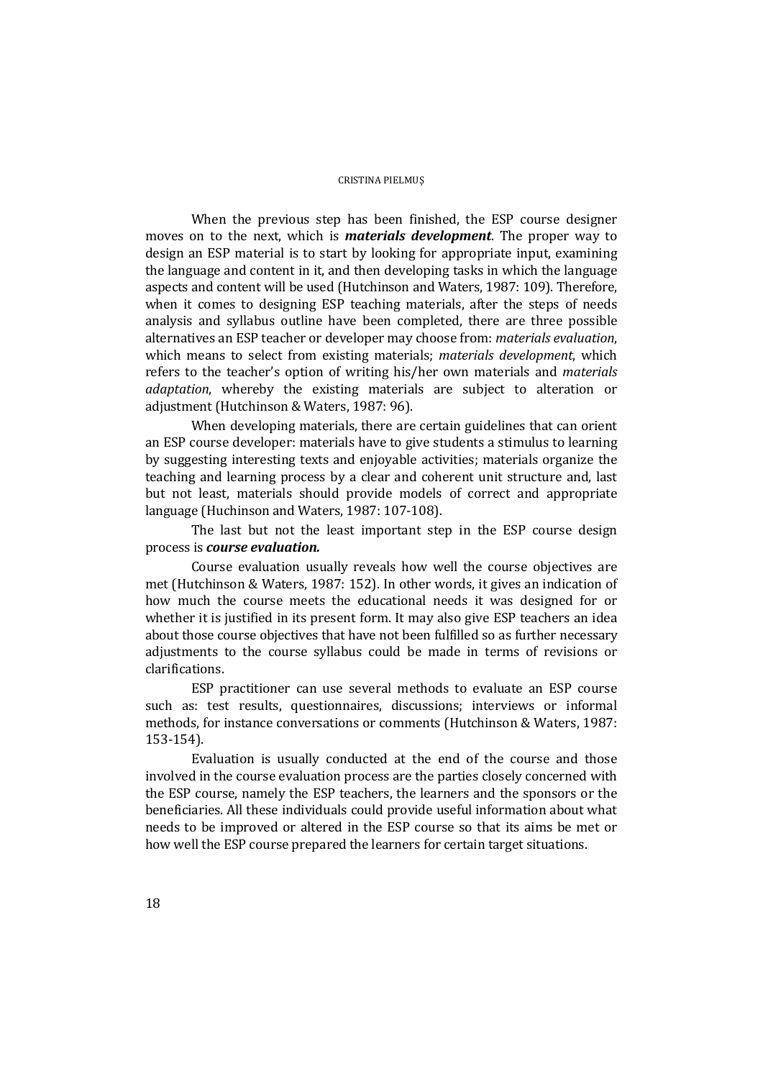When the previous step has been finished, the ESP course designer moves on to the next, which is *materials development*. The proper way to design an ESP material is to start by looking for appropriate input, examining the language and content in it, and then developing tasks in which the language aspects and content will be used (Hutchinson and Waters, 1987: 109). Therefore, when it comes to designing ESP teaching materials, after the steps of needs analysis and syllabus outline have been completed, there are three possible alternatives an ESP teacher or developer may choose from: *materials evaluation*, which means to select from existing materials; *materials development*, which refers to the teacher's option of writing his/her own materials and *materials adaptation*, whereby the existing materials are subject to alteration or adjustment (Hutchinson & Waters, 1987: 96).

 When developing materials, there are certain guidelines that can orient an ESP course developer: materials have to give students a stimulus to learning by suggesting interesting texts and enjoyable activities; materials organize the teaching and learning process by a clear and coherent unit structure and, last but not least, materials should provide models of correct and appropriate language (Huchinson and Waters, 1987: 107-108).

 The last but not the least important step in the ESP course design process is *course evaluation.* 

 Course evaluation usually reveals how well the course objectives are met (Hutchinson & Waters, 1987: 152). In other words, it gives an indication of how much the course meets the educational needs it was designed for or whether it is justified in its present form. It may also give ESP teachers an idea about those course objectives that have not been fulfilled so as further necessary adjustments to the course syllabus could be made in terms of revisions or clarifications.

 ESP practitioner can use several methods to evaluate an ESP course such as: test results, questionnaires, discussions; interviews or informal methods, for instance conversations or comments (Hutchinson & Waters, 1987: 153-154).

 Evaluation is usually conducted at the end of the course and those involved in the course evaluation process are the parties closely concerned with the ESP course, namely the ESP teachers, the learners and the sponsors or the beneficiaries. All these individuals could provide useful information about what needs to be improved or altered in the ESP course so that its aims be met or how well the ESP course prepared the learners for certain target situations.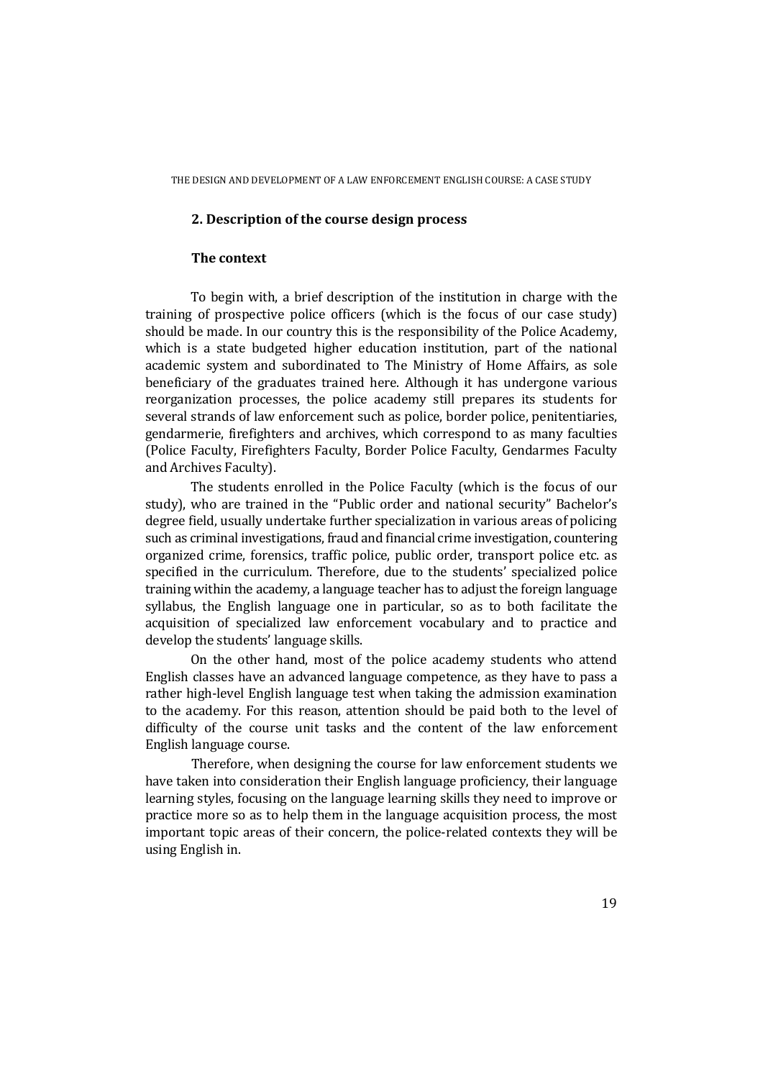## **2. Description of the course design process**

### **The context**

To begin with, a brief description of the institution in charge with the training of prospective police officers (which is the focus of our case study) should be made. In our country this is the responsibility of the Police Academy, which is a state budgeted higher education institution, part of the national academic system and subordinated to The Ministry of Home Affairs, as sole beneficiary of the graduates trained here. Although it has undergone various reorganization processes, the police academy still prepares its students for several strands of law enforcement such as police, border police, penitentiaries, gendarmerie, firefighters and archives, which correspond to as many faculties (Police Faculty, Firefighters Faculty, Border Police Faculty, Gendarmes Faculty and Archives Faculty).

The students enrolled in the Police Faculty (which is the focus of our study), who are trained in the "Public order and national security" Bachelor's degree field, usually undertake further specialization in various areas of policing such as criminal investigations, fraud and financial crime investigation, countering organized crime, forensics, traffic police, public order, transport police etc. as specified in the curriculum. Therefore, due to the students' specialized police training within the academy, a language teacher has to adjust the foreign language syllabus, the English language one in particular, so as to both facilitate the acquisition of specialized law enforcement vocabulary and to practice and develop the students' language skills.

On the other hand, most of the police academy students who attend English classes have an advanced language competence, as they have to pass a rather high-level English language test when taking the admission examination to the academy. For this reason, attention should be paid both to the level of difficulty of the course unit tasks and the content of the law enforcement English language course.

 Therefore, when designing the course for law enforcement students we have taken into consideration their English language proficiency, their language learning styles, focusing on the language learning skills they need to improve or practice more so as to help them in the language acquisition process, the most important topic areas of their concern, the police-related contexts they will be using English in.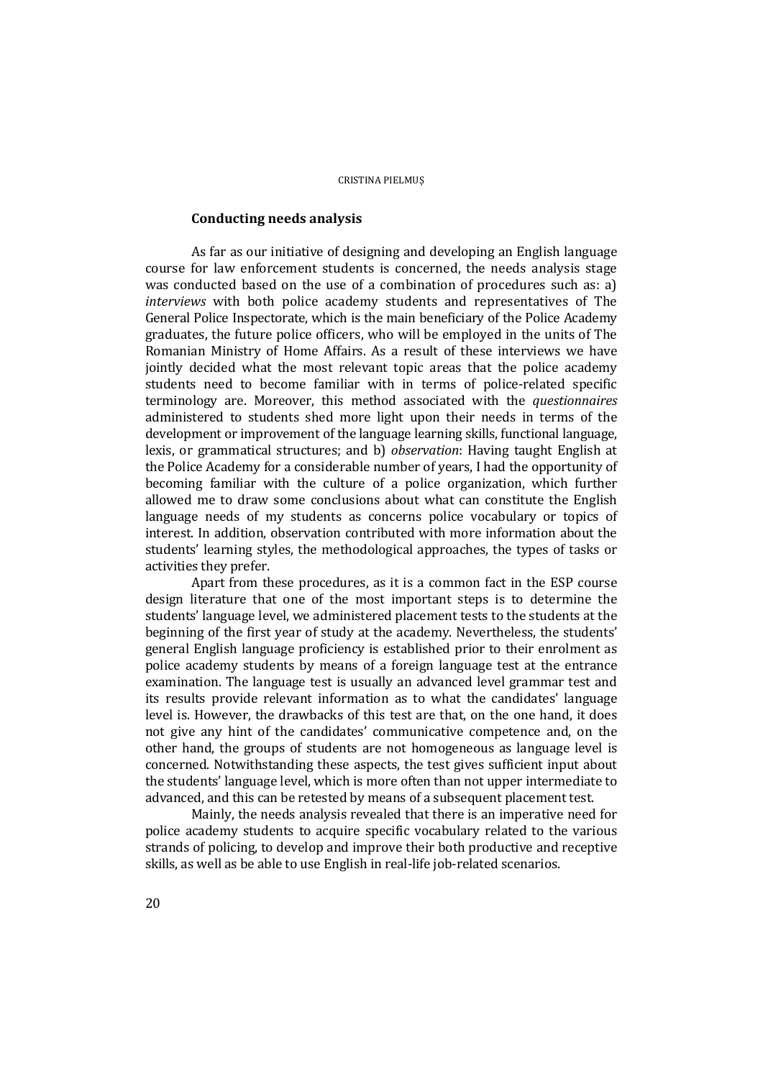### **Conducting needs analysis**

 As far as our initiative of designing and developing an English language course for law enforcement students is concerned, the needs analysis stage was conducted based on the use of a combination of procedures such as: a) *interviews* with both police academy students and representatives of The General Police Inspectorate, which is the main beneficiary of the Police Academy graduates, the future police officers, who will be employed in the units of The Romanian Ministry of Home Affairs. As a result of these interviews we have jointly decided what the most relevant topic areas that the police academy students need to become familiar with in terms of police-related specific terminology are. Moreover, this method associated with the *questionnaires* administered to students shed more light upon their needs in terms of the development or improvement of the language learning skills, functional language, lexis, or grammatical structures; and b) *observation*: Having taught English at the Police Academy for a considerable number of years, I had the opportunity of becoming familiar with the culture of a police organization, which further allowed me to draw some conclusions about what can constitute the English language needs of my students as concerns police vocabulary or topics of interest. In addition, observation contributed with more information about the students' learning styles, the methodological approaches, the types of tasks or activities they prefer.

 Apart from these procedures, as it is a common fact in the ESP course design literature that one of the most important steps is to determine the students' language level, we administered placement tests to the students at the beginning of the first year of study at the academy. Nevertheless, the students' general English language proficiency is established prior to their enrolment as police academy students by means of a foreign language test at the entrance examination. The language test is usually an advanced level grammar test and its results provide relevant information as to what the candidates' language level is. However, the drawbacks of this test are that, on the one hand, it does not give any hint of the candidates' communicative competence and, on the other hand, the groups of students are not homogeneous as language level is concerned. Notwithstanding these aspects, the test gives sufficient input about the students' language level, which is more often than not upper intermediate to advanced, and this can be retested by means of a subsequent placement test.

 Mainly, the needs analysis revealed that there is an imperative need for police academy students to acquire specific vocabulary related to the various strands of policing, to develop and improve their both productive and receptive skills, as well as be able to use English in real-life job-related scenarios.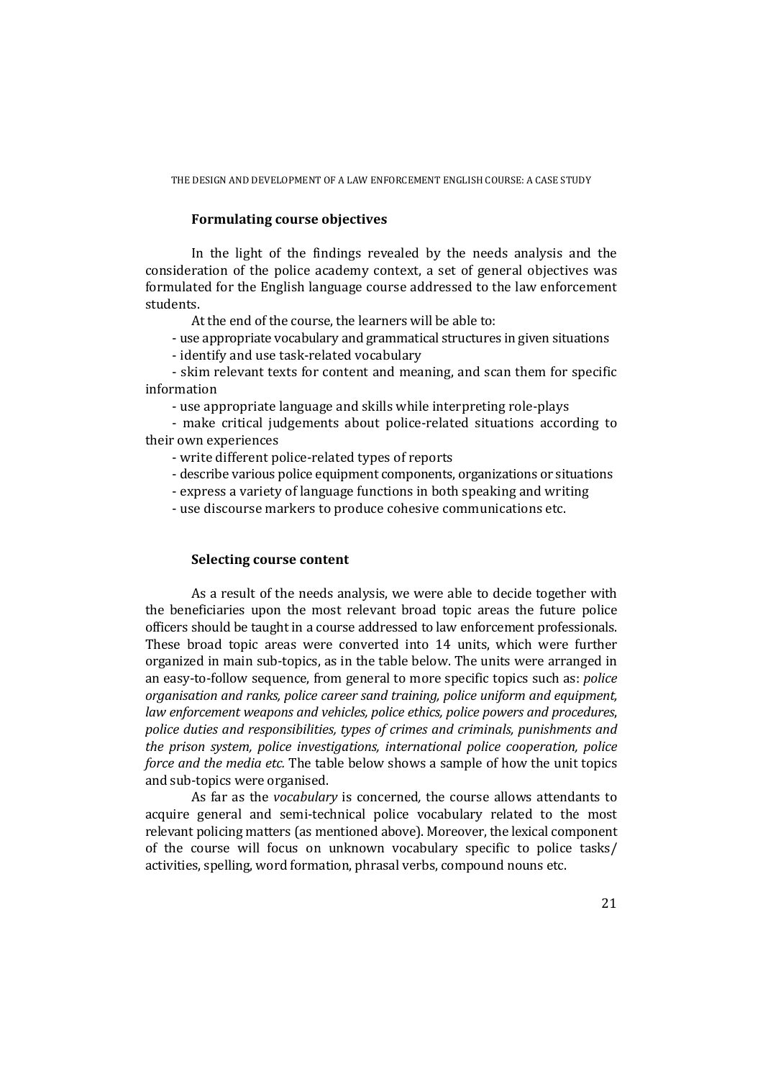# **Formulating course objectives**

 In the light of the findings revealed by the needs analysis and the consideration of the police academy context, a set of general objectives was formulated for the English language course addressed to the law enforcement students.

At the end of the course, the learners will be able to:

- use appropriate vocabulary and grammatical structures in given situations

- identify and use task-related vocabulary

- skim relevant texts for content and meaning, and scan them for specific information

- use appropriate language and skills while interpreting role-plays

- make critical judgements about police-related situations according to their own experiences

- write different police-related types of reports

- describe various police equipment components, organizations or situations

- express a variety of language functions in both speaking and writing

- use discourse markers to produce cohesive communications etc.

# **Selecting course content**

 As a result of the needs analysis, we were able to decide together with the beneficiaries upon the most relevant broad topic areas the future police officers should be taught in a course addressed to law enforcement professionals. These broad topic areas were converted into 14 units, which were further organized in main sub-topics, as in the table below. The units were arranged in an easy-to-follow sequence, from general to more specific topics such as: *police organisation and ranks, police career sand training, police uniform and equipment, law enforcement weapons and vehicles, police ethics, police powers and procedures*, *police duties and responsibilities, types of crimes and criminals, punishments and the prison system, police investigations, international police cooperation, police force and the media etc.* The table below shows a sample of how the unit topics and sub-topics were organised.

 As far as the *vocabulary* is concerned*,* the course allows attendants to acquire general and semi-technical police vocabulary related to the most relevant policing matters (as mentioned above). Moreover, the lexical component of the course will focus on unknown vocabulary specific to police tasks/ activities, spelling, word formation, phrasal verbs, compound nouns etc.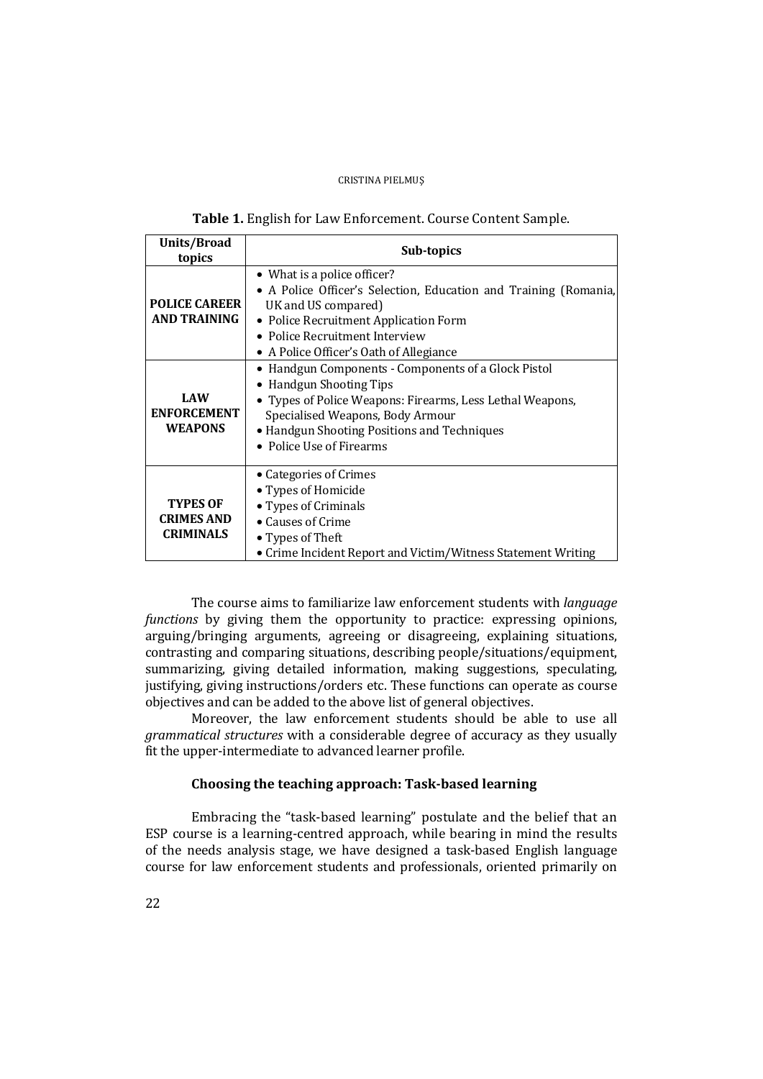| Table 1. English for Law Enforcement. Course Content Sample. |
|--------------------------------------------------------------|
|--------------------------------------------------------------|

| Units/Broad                                              | Sub-topics                                                                                                                                                                                                                                                      |  |  |  |  |
|----------------------------------------------------------|-----------------------------------------------------------------------------------------------------------------------------------------------------------------------------------------------------------------------------------------------------------------|--|--|--|--|
| topics                                                   |                                                                                                                                                                                                                                                                 |  |  |  |  |
| <b>POLICE CAREER</b><br><b>AND TRAINING</b>              | • What is a police officer?<br>• A Police Officer's Selection, Education and Training (Romania,<br>UK and US compared)<br>• Police Recruitment Application Form<br>• Police Recruitment Interview<br>• A Police Officer's Oath of Allegiance                    |  |  |  |  |
| <b>LAW</b><br><b>ENFORCEMENT</b><br><b>WEAPONS</b>       | • Handgun Components - Components of a Glock Pistol<br><b>Handgun Shooting Tips</b><br>• Types of Police Weapons: Firearms, Less Lethal Weapons,<br>Specialised Weapons, Body Armour<br>• Handgun Shooting Positions and Techniques<br>• Police Use of Firearms |  |  |  |  |
| <b>TYPES OF</b><br><b>CRIMES AND</b><br><b>CRIMINALS</b> | • Categories of Crimes<br>• Types of Homicide<br>• Types of Criminals<br>• Causes of Crime<br>$\bullet$ Types of Theft<br>• Crime Incident Report and Victim/Witness Statement Writing                                                                          |  |  |  |  |

 The course aims to familiarize law enforcement students with *language functions* by giving them the opportunity to practice: expressing opinions, arguing/bringing arguments, agreeing or disagreeing, explaining situations, contrasting and comparing situations, describing people/situations/equipment, summarizing, giving detailed information, making suggestions, speculating, justifying, giving instructions/orders etc. These functions can operate as course objectives and can be added to the above list of general objectives.

Moreover, the law enforcement students should be able to use all *grammatical structures* with a considerable degree of accuracy as they usually fit the upper-intermediate to advanced learner profile.

## **Choosing the teaching approach: Task-based learning**

 Embracing the "task-based learning" postulate and the belief that an ESP course is a learning-centred approach, while bearing in mind the results of the needs analysis stage, we have designed a task-based English language course for law enforcement students and professionals, oriented primarily on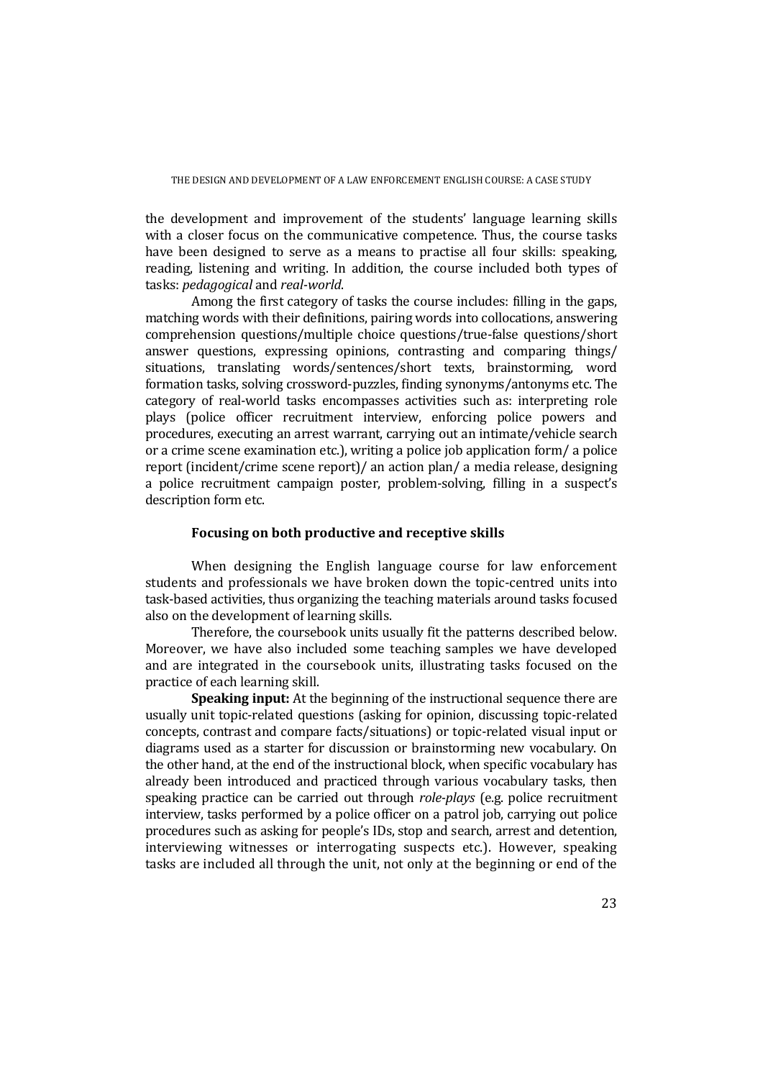the development and improvement of the students' language learning skills with a closer focus on the communicative competence. Thus, the course tasks have been designed to serve as a means to practise all four skills: speaking, reading, listening and writing. In addition, the course included both types of tasks: *pedagogical* and *real-world*.

 Among the first category of tasks the course includes: filling in the gaps, matching words with their definitions, pairing words into collocations, answering comprehension questions/multiple choice questions/true-false questions/short answer questions, expressing opinions, contrasting and comparing things/ situations, translating words/sentences/short texts, brainstorming, word formation tasks, solving crossword-puzzles, finding synonyms/antonyms etc. The category of real-world tasks encompasses activities such as: interpreting role plays (police officer recruitment interview, enforcing police powers and procedures, executing an arrest warrant, carrying out an intimate/vehicle search or a crime scene examination etc.), writing a police job application form/ a police report (incident/crime scene report)/ an action plan/ a media release, designing a police recruitment campaign poster, problem-solving, filling in a suspect's description form etc.

## **Focusing on both productive and receptive skills**

 When designing the English language course for law enforcement students and professionals we have broken down the topic-centred units into task-based activities, thus organizing the teaching materials around tasks focused also on the development of learning skills.

Therefore, the coursebook units usually fit the patterns described below. Moreover, we have also included some teaching samples we have developed and are integrated in the coursebook units, illustrating tasks focused on the practice of each learning skill.

**Speaking input:** At the beginning of the instructional sequence there are usually unit topic-related questions (asking for opinion, discussing topic-related concepts, contrast and compare facts/situations) or topic-related visual input or diagrams used as a starter for discussion or brainstorming new vocabulary. On the other hand, at the end of the instructional block, when specific vocabulary has already been introduced and practiced through various vocabulary tasks, then speaking practice can be carried out through *role-plays* (e.g. police recruitment interview, tasks performed by a police officer on a patrol job, carrying out police procedures such as asking for people's IDs, stop and search, arrest and detention, interviewing witnesses or interrogating suspects etc.). However, speaking tasks are included all through the unit, not only at the beginning or end of the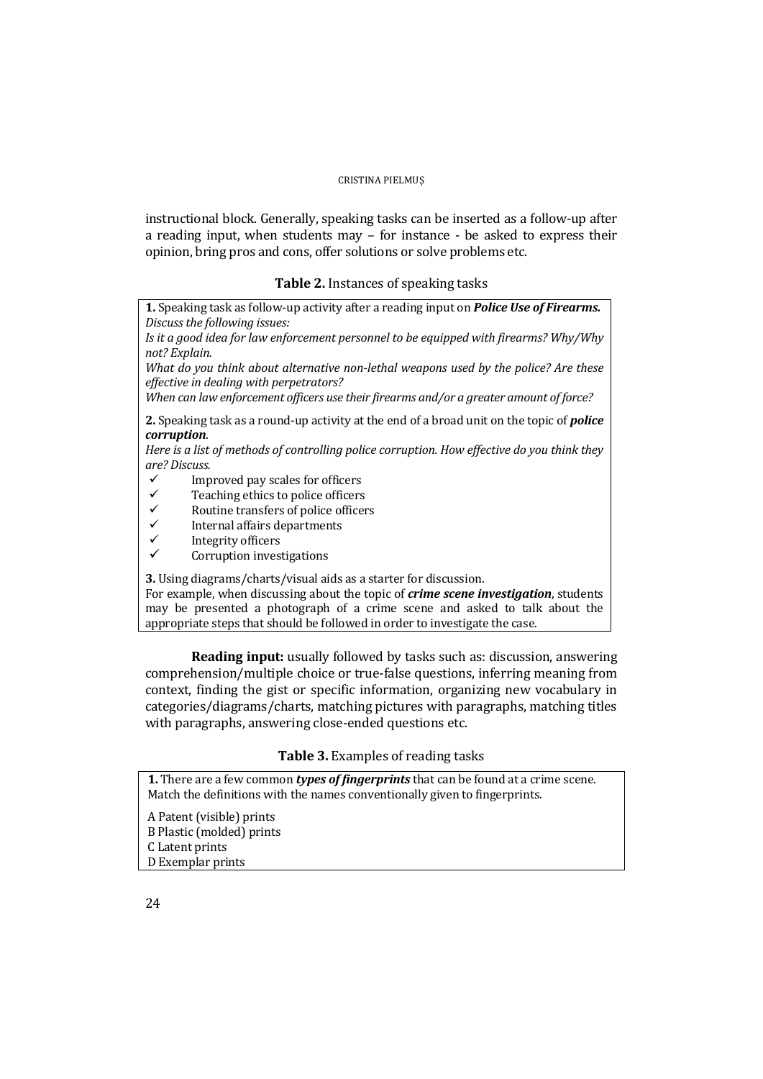instructional block. Generally, speaking tasks can be inserted as a follow-up after a reading input, when students may – for instance - be asked to express their opinion, bring pros and cons, offer solutions or solve problems etc.

# **Table 2.** Instances of speaking tasks

**1.** Speaking task as follow-up activity after a reading input on *Police Use of Firearms. Discuss the following issues:* 

*Is it a good idea for law enforcement personnel to be equipped with firearms? Why/Why not? Explain.* 

*What do you think about alternative non-lethal weapons used by the police? Are these effective in dealing with perpetrators?* 

*When can law enforcement officers use their firearms and/or a greater amount of force?* 

**2.** Speaking task as a round-up activity at the end of a broad unit on the topic of *police corruption*.

*Here is a list of methods of controlling police corruption. How effective do you think they are? Discuss.* 

- $\checkmark$  Improved pay scales for officers<br> $\checkmark$  Teaching ethics to police officers
- $\checkmark$  Teaching ethics to police officers<br> $\checkmark$  Routine transfers of police officer
- Routine transfers of police officers
- $\checkmark$  Internal affairs departments<br> $\checkmark$  Integrity officers
- Integrity officers
- $\checkmark$  Corruption investigations

**3.** Using diagrams/charts/visual aids as a starter for discussion.

For example, when discussing about the topic of *crime scene investigation*, students may be presented a photograph of a crime scene and asked to talk about the appropriate steps that should be followed in order to investigate the case.

**Reading input:** usually followed by tasks such as: discussion, answering comprehension/multiple choice or true-false questions, inferring meaning from context, finding the gist or specific information, organizing new vocabulary in categories/diagrams/charts, matching pictures with paragraphs, matching titles with paragraphs, answering close-ended questions etc.

**Table 3.** Examples of reading tasks

**1.** There are a few common *types of fingerprints* that can be found at a crime scene. Match the definitions with the names conventionally given to fingerprints.

A Patent (visible) prints B Plastic (molded) prints C Latent prints D Exemplar prints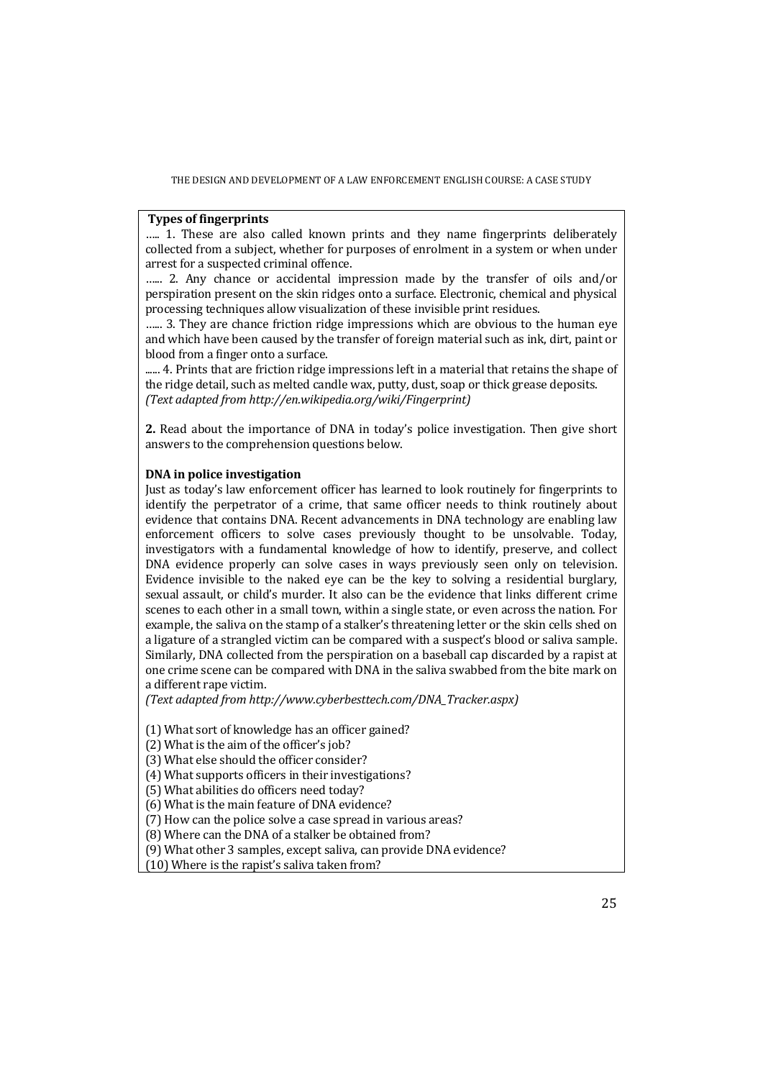### **Types of fingerprints**

….. 1. These are also called known prints and they name fingerprints deliberately collected from a subject, whether for purposes of enrolment in a system or when under arrest for a suspected criminal offence.

…... 2. Any chance or accidental impression made by the transfer of oils and/or perspiration present on the skin ridges onto a surface. Electronic, chemical and physical processing techniques allow visualization of these invisible print residues.

…... 3. They are chance friction ridge impressions which are obvious to the human eye and which have been caused by the transfer of foreign material such as ink, dirt, paint or blood from a finger onto a surface.

...... 4. Prints that are friction ridge impressions left in a material that retains the shape of the ridge detail, such as melted candle wax, putty, dust, soap or thick grease deposits. *(Text adapted from http://en.wikipedia.org/wiki/Fingerprint)* 

**2.** Read about the importance of DNA in today's police investigation. Then give short answers to the comprehension questions below.

### **DNA in police investigation**

Just as today's law enforcement officer has learned to look routinely for fingerprints to identify the perpetrator of a crime, that same officer needs to think routinely about evidence that contains DNA. Recent advancements in DNA technology are enabling law enforcement officers to solve cases previously thought to be unsolvable. Today, investigators with a fundamental knowledge of how to identify, preserve, and collect DNA evidence properly can solve cases in ways previously seen only on television. Evidence invisible to the naked eye can be the key to solving a residential burglary, sexual assault, or child's murder. It also can be the evidence that links different crime scenes to each other in a small town, within a single state, or even across the nation. For example, the saliva on the stamp of a stalker's threatening letter or the skin cells shed on a ligature of a strangled victim can be compared with a suspect's blood or saliva sample. Similarly, DNA collected from the perspiration on a baseball cap discarded by a rapist at one crime scene can be compared with DNA in the saliva swabbed from the bite mark on a different rape victim.

*(Text adapted from http://www.cyberbesttech.com/DNA\_Tracker.aspx)* 

(1) What sort of knowledge has an officer gained?

(2) What is the aim of the officer's job?

(3) What else should the officer consider?

(4) What supports officers in their investigations?

(5) What abilities do officers need today?

(6) What is the main feature of DNA evidence?

(7) How can the police solve a case spread in various areas?

(8) Where can the DNA of a stalker be obtained from?

(9) What other 3 samples, except saliva, can provide DNA evidence?

(10) Where is the rapist's saliva taken from?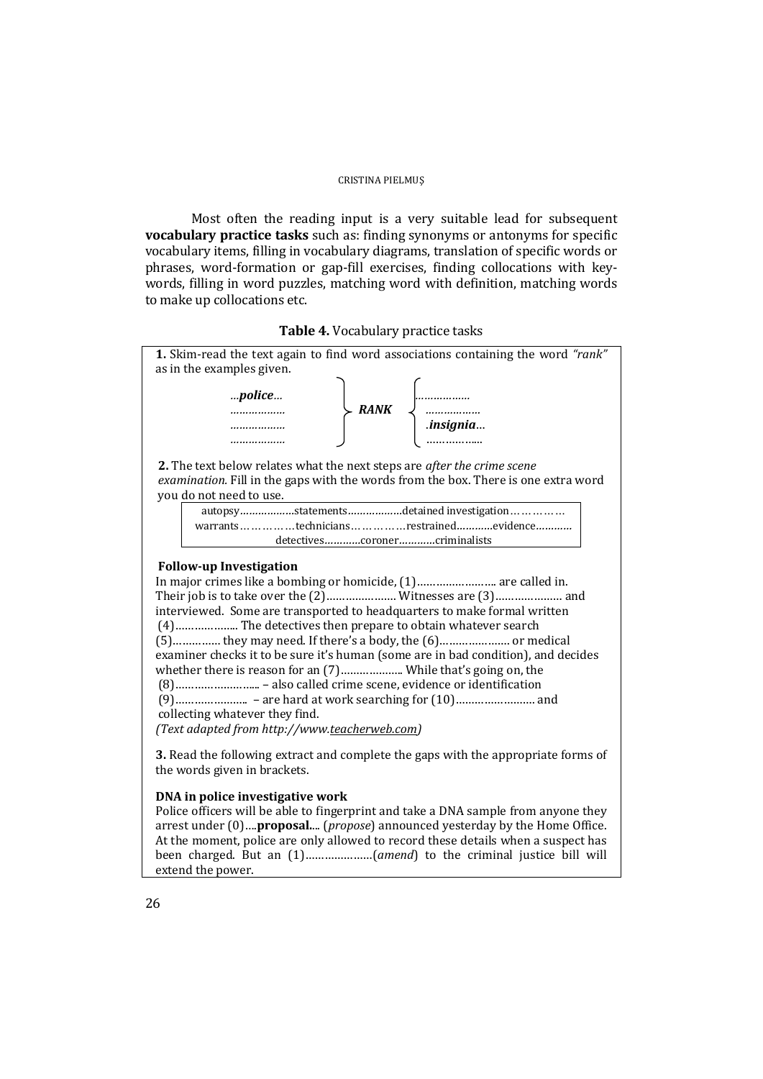Most often the reading input is a very suitable lead for subsequent **vocabulary practice tasks** such as: finding synonyms or antonyms for specific vocabulary items, filling in vocabulary diagrams, translation of specific words or phrases, word-formation or gap-fill exercises, finding collocations with keywords, filling in word puzzles, matching word with definition, matching words to make up collocations etc.

## **Table 4.** Vocabulary practice tasks



**2.** The text below relates what the next steps are *after the crime scene examination.* Fill in the gaps with the words from the box. There is one extra word you do not need to use.

| autopsystatementsdetained investigation |  |  |  |
|-----------------------------------------|--|--|--|
| warrantstechniciansrestrainedevidence   |  |  |  |
| detectivescoronercriminalists           |  |  |  |

### **Follow-up Investigation**

In major crimes like a bombing or homicide, (1)……………………. are called in. Their job is to take over the (2)…………………. Witnesses are (3)………………… and interviewed. Some are transported to headquarters to make formal written (4)……………….. The detectives then prepare to obtain whatever search (5)…………… they may need. If there's a body, the (6)…………………. or medical examiner checks it to be sure it's human (some are in bad condition), and decides whether there is reason for an (7)……………….. While that's going on, the (8)……………………... – also called crime scene, evidence or identification (9)………………….. – are hard at work searching for (10)……………………. and collecting whatever they find.

*(Text adapted from http://www.teacherweb.com)* 

**3.** Read the following extract and complete the gaps with the appropriate forms of the words given in brackets.

### **DNA in police investigative work**

Police officers will be able to fingerprint and take a DNA sample from anyone they arrest under (0)….**proposal.**... (*propose*) announced yesterday by the Home Office. At the moment, police are only allowed to record these details when a suspect has been charged. But an (1)…………………(*amend*) to the criminal justice bill will extend the power.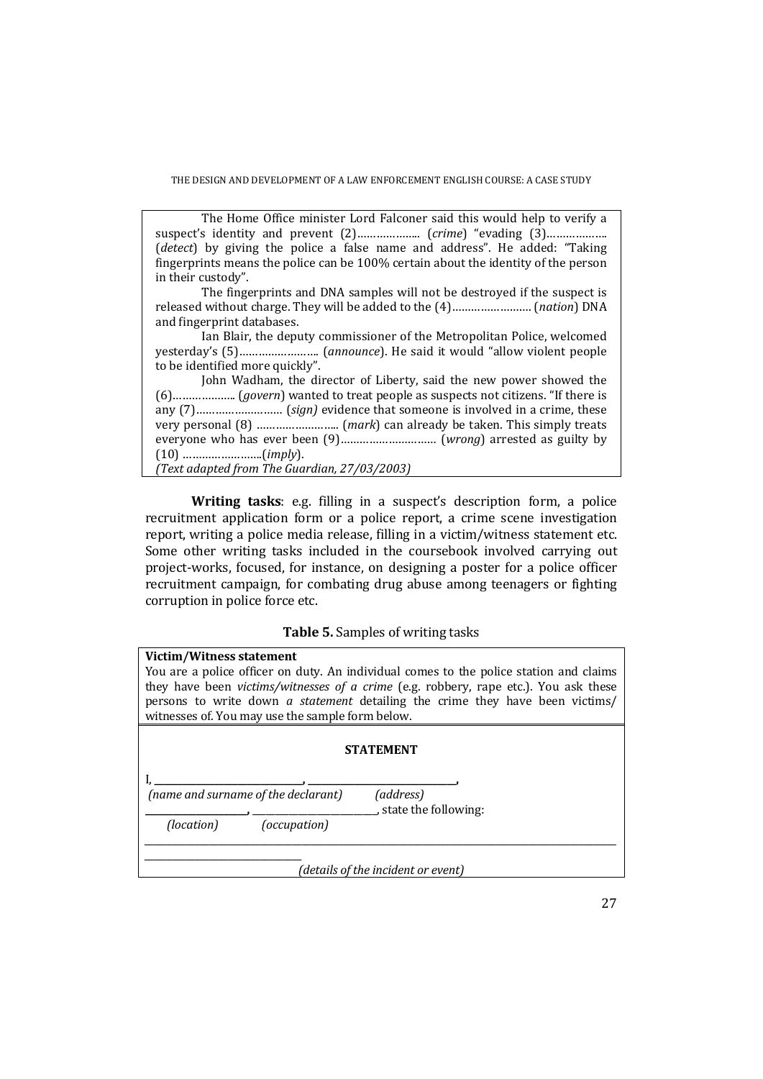The Home Office minister Lord Falconer said this would help to verify a suspect's identity and prevent  $(2)$ …………………... (*crime*) "evading  $(3)$ ……………………… (*detect*) by giving the police a false name and address". He added: "Taking fingerprints means the police can be 100% certain about the identity of the person in their custody".

The fingerprints and DNA samples will not be destroyed if the suspect is released without charge. They will be added to the (4)……………………. (*nation*) DNA and fingerprint databases.

Ian Blair, the deputy commissioner of the Metropolitan Police, welcomed yesterday's (5)……………………. (*announce*). He said it would "allow violent people to be identified more quickly".

John Wadham, the director of Liberty, said the new power showed the (6)……………….. (*govern*) wanted to treat people as suspects not citizens. "If there is any (7)……………………… (*sign)* evidence that someone is involved in a crime, these very personal (8) …………………….. (*mark*) can already be taken. This simply treats everyone who has ever been (9)………………………… (*wrong*) arrested as guilty by (10) …………………….(*imply*).

*(Text adapted from The Guardian, 27/03/2003)* 

**Writing tasks**: e.g. filling in a suspect's description form, a police recruitment application form or a police report, a crime scene investigation report, writing a police media release, filling in a victim/witness statement etc. Some other writing tasks included in the coursebook involved carrying out project-works, focused, for instance, on designing a poster for a police officer recruitment campaign, for combating drug abuse among teenagers or fighting corruption in police force etc.

## **Table 5.** Samples of writing tasks

| Victim/Witness statement                                                               |                      |  |  |  |  |  |  |
|----------------------------------------------------------------------------------------|----------------------|--|--|--|--|--|--|
| You are a police officer on duty. An individual comes to the police station and claims |                      |  |  |  |  |  |  |
| they have been victims/witnesses of a crime (e.g. robbery, rape etc.). You ask these   |                      |  |  |  |  |  |  |
| persons to write down <i>a statement</i> detailing the crime they have been victims/   |                      |  |  |  |  |  |  |
| witnesses of. You may use the sample form below.                                       |                      |  |  |  |  |  |  |
|                                                                                        |                      |  |  |  |  |  |  |
| <b>STATEMENT</b>                                                                       |                      |  |  |  |  |  |  |
|                                                                                        |                      |  |  |  |  |  |  |
|                                                                                        |                      |  |  |  |  |  |  |
| (name and surname of the declarant)                                                    | (address)            |  |  |  |  |  |  |
|                                                                                        | state the following: |  |  |  |  |  |  |
| (location)<br>(occupation)                                                             |                      |  |  |  |  |  |  |
|                                                                                        |                      |  |  |  |  |  |  |
|                                                                                        |                      |  |  |  |  |  |  |
| (details of the incident or event)                                                     |                      |  |  |  |  |  |  |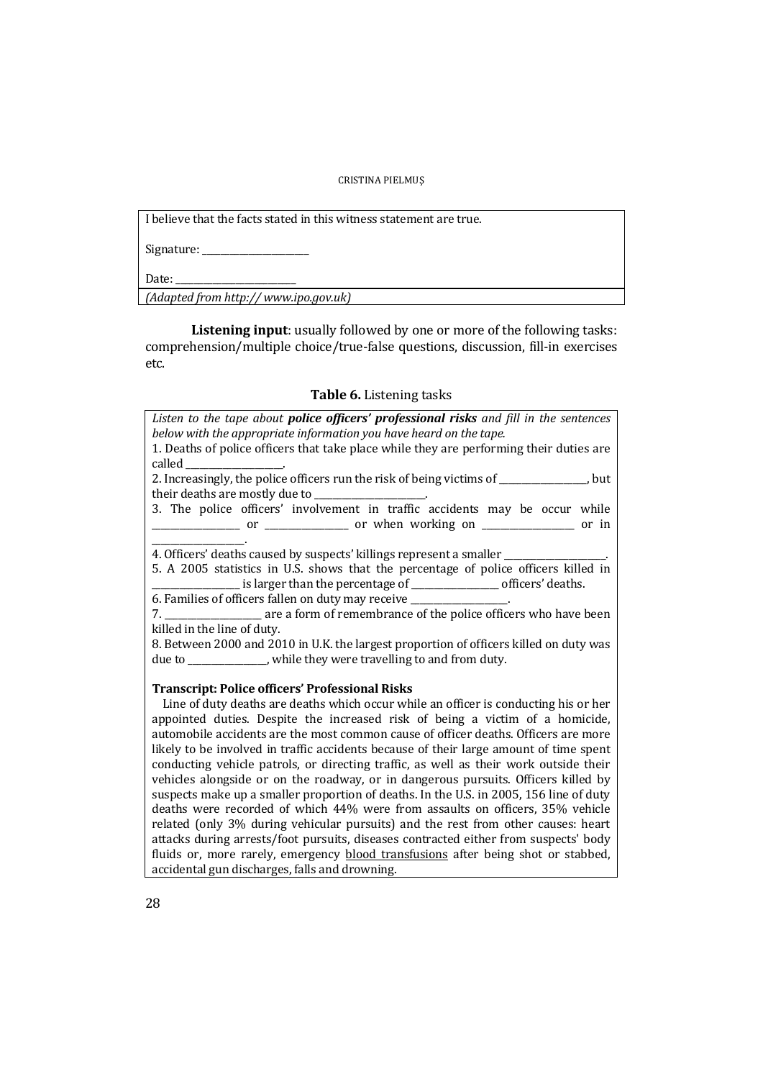I believe that the facts stated in this witness statement are true.

Signature: \_\_\_\_\_\_\_\_\_\_\_\_\_\_\_\_\_\_\_\_\_\_\_

Date:

*(Adapted from http:// www.ipo.gov.uk)* 

**Listening input**: usually followed by one or more of the following tasks: comprehension/multiple choice/true-false questions, discussion, fill-in exercises etc.

## **Table 6.** Listening tasks

*Listen to the tape about police officers' professional risks and fill in the sentences below with the appropriate information you have heard on the tape.* 

1. Deaths of police officers that take place while they are performing their duties are called \_\_\_\_\_\_\_\_\_\_\_\_\_\_\_\_\_\_\_\_\_.

2. Increasingly, the police officers run the risk of being victims of  $\qquad \qquad$ , but their deaths are mostly due to

3. The police officers' involvement in traffic accidents may be occur while \_\_\_\_\_\_\_\_\_\_\_\_\_\_\_\_\_\_\_ or \_\_\_\_\_\_\_\_\_\_\_\_\_\_\_\_\_\_ or when working on \_\_\_\_\_\_\_\_\_\_\_\_\_\_\_\_\_\_\_\_ or in

 $\mathcal{L}_\text{max}$  and  $\mathcal{L}_\text{max}$ 4. Officers' deaths caused by suspects' killings represent a smaller \_\_\_\_\_\_\_\_\_\_\_\_\_\_\_\_\_\_\_\_\_\_.

5. A 2005 statistics in U.S. shows that the percentage of police officers killed in \_\_\_\_\_\_\_\_\_\_\_\_\_\_\_\_\_\_\_ is larger than the percentage of \_\_\_\_\_\_\_\_\_\_\_\_\_\_\_\_\_\_\_ officers' deaths.

6. Families of officers fallen on duty may receive

7. \_\_\_\_\_\_\_\_\_\_\_\_\_\_\_\_\_\_\_\_\_ are a form of remembrance of the police officers who have been killed in the line of duty.

8. Between 2000 and 2010 in U.K. the largest proportion of officers killed on duty was due to \_\_\_\_\_\_\_\_\_\_\_\_\_, while they were travelling to and from duty.

### **Transcript: Police officers' Professional Risks**

 Line of duty deaths are deaths which occur while an officer is conducting his or her appointed duties. Despite the increased risk of being a victim of a homicide, automobile accidents are the most common cause of officer deaths. Officers are more likely to be involved in traffic accidents because of their large amount of time spent conducting vehicle patrols, or directing traffic, as well as their work outside their vehicles alongside or on the roadway, or in dangerous pursuits. Officers killed by suspects make up a smaller proportion of deaths. In the U.S. in 2005, 156 line of duty deaths were recorded of which 44% were from assaults on officers, 35% vehicle related (only 3% during vehicular pursuits) and the rest from other causes: heart attacks during arrests/foot pursuits, diseases contracted either from suspects' body fluids or, more rarely, emergency blood transfusions after being shot or stabbed, accidental gun discharges, falls and drowning.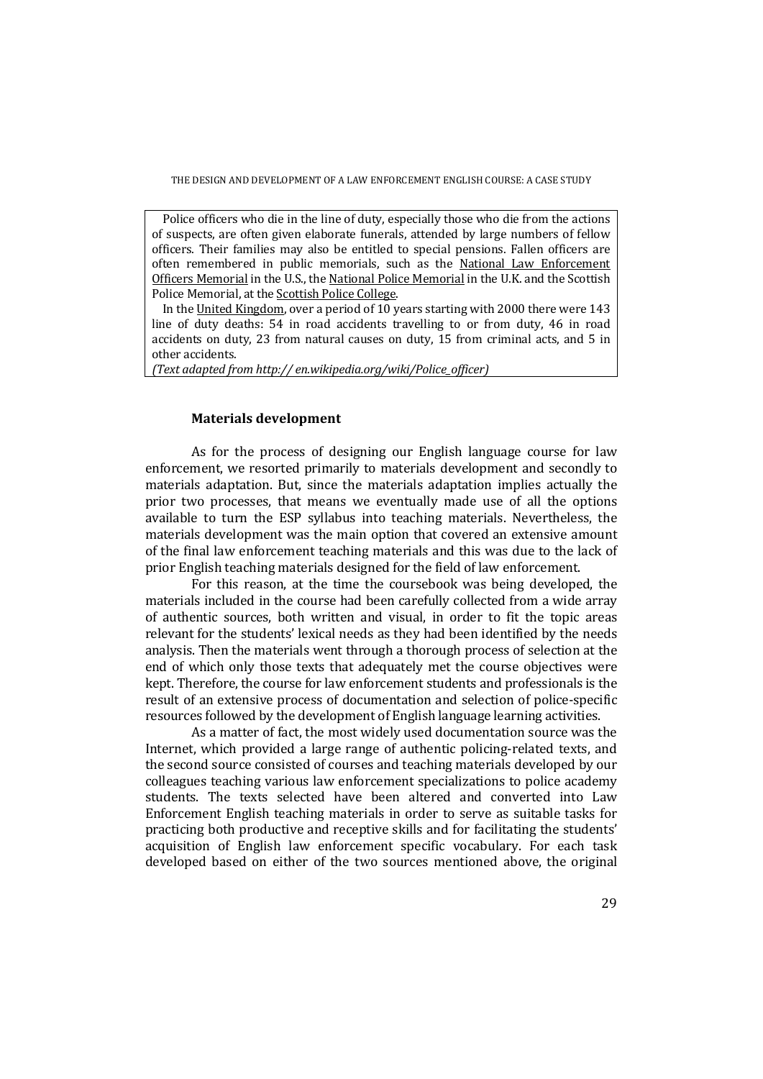Police officers who die in the line of duty, especially those who die from the actions of suspects, are often given elaborate funerals, attended by large numbers of fellow officers. Their families may also be entitled to special pensions. Fallen officers are often remembered in public memorials, such as the National Law Enforcement Officers Memorial in the U.S., the National Police Memorial in the U.K. and the Scottish Police Memorial, at the Scottish Police College.

 In the United Kingdom, over a period of 10 years starting with 2000 there were 143 line of duty deaths: 54 in road accidents travelling to or from duty, 46 in road accidents on duty, 23 from natural causes on duty, 15 from criminal acts, and 5 in other accidents.

*(Text adapted from http:// en.wikipedia.org/wiki/Police\_officer)*

### **Materials development**

 As for the process of designing our English language course for law enforcement, we resorted primarily to materials development and secondly to materials adaptation. But, since the materials adaptation implies actually the prior two processes, that means we eventually made use of all the options available to turn the ESP syllabus into teaching materials. Nevertheless, the materials development was the main option that covered an extensive amount of the final law enforcement teaching materials and this was due to the lack of prior English teaching materials designed for the field of law enforcement.

 For this reason, at the time the coursebook was being developed, the materials included in the course had been carefully collected from a wide array of authentic sources, both written and visual, in order to fit the topic areas relevant for the students' lexical needs as they had been identified by the needs analysis. Then the materials went through a thorough process of selection at the end of which only those texts that adequately met the course objectives were kept. Therefore, the course for law enforcement students and professionals is the result of an extensive process of documentation and selection of police-specific resources followed by the development of English language learning activities.

 As a matter of fact, the most widely used documentation source was the Internet, which provided a large range of authentic policing-related texts, and the second source consisted of courses and teaching materials developed by our colleagues teaching various law enforcement specializations to police academy students. The texts selected have been altered and converted into Law Enforcement English teaching materials in order to serve as suitable tasks for practicing both productive and receptive skills and for facilitating the students' acquisition of English law enforcement specific vocabulary. For each task developed based on either of the two sources mentioned above, the original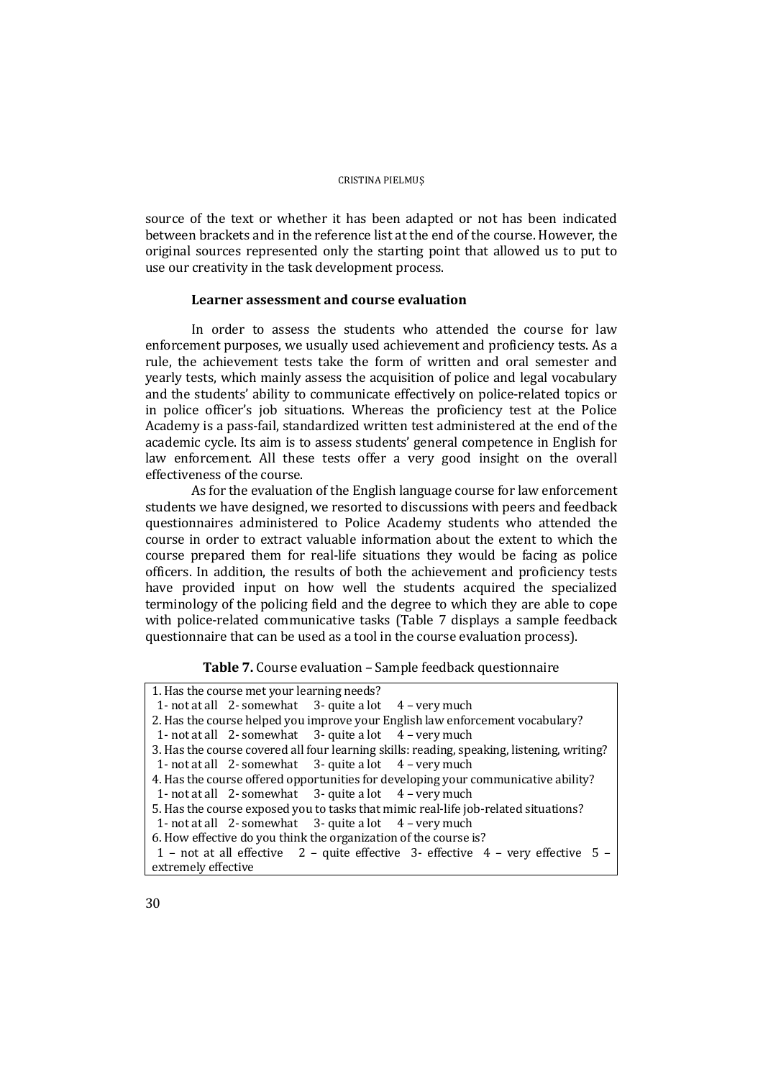source of the text or whether it has been adapted or not has been indicated between brackets and in the reference list at the end of the course. However, the original sources represented only the starting point that allowed us to put to use our creativity in the task development process.

### **Learner assessment and course evaluation**

In order to assess the students who attended the course for law enforcement purposes, we usually used achievement and proficiency tests. As a rule, the achievement tests take the form of written and oral semester and yearly tests, which mainly assess the acquisition of police and legal vocabulary and the students' ability to communicate effectively on police-related topics or in police officer's job situations. Whereas the proficiency test at the Police Academy is a pass-fail, standardized written test administered at the end of the academic cycle. Its aim is to assess students' general competence in English for law enforcement. All these tests offer a very good insight on the overall effectiveness of the course.

 As for the evaluation of the English language course for law enforcement students we have designed, we resorted to discussions with peers and feedback questionnaires administered to Police Academy students who attended the course in order to extract valuable information about the extent to which the course prepared them for real-life situations they would be facing as police officers. In addition, the results of both the achievement and proficiency tests have provided input on how well the students acquired the specialized terminology of the policing field and the degree to which they are able to cope with police-related communicative tasks (Table 7 displays a sample feedback questionnaire that can be used as a tool in the course evaluation process).

**Table 7.** Course evaluation – Sample feedback questionnaire

|                                                                                            | 1. Has the course met your learning needs?               |  |                                                                               |  |
|--------------------------------------------------------------------------------------------|----------------------------------------------------------|--|-------------------------------------------------------------------------------|--|
|                                                                                            | 1- not at all 2- somewhat 3- quite a lot $4$ – very much |  |                                                                               |  |
|                                                                                            |                                                          |  | 2. Has the course helped you improve your English law enforcement vocabulary? |  |
|                                                                                            | 1- not at all 2- somewhat 3- quite a lot $4$ – very much |  |                                                                               |  |
| 3. Has the course covered all four learning skills: reading, speaking, listening, writing? |                                                          |  |                                                                               |  |
|                                                                                            | 1- not at all 2- somewhat 3- quite a lot $4$ – very much |  |                                                                               |  |
| 4. Has the course offered opportunities for developing your communicative ability?         |                                                          |  |                                                                               |  |
|                                                                                            | 1- not at all 2- somewhat 3- quite a lot $4$ – very much |  |                                                                               |  |
| 5. Has the course exposed you to tasks that mimic real-life job-related situations?        |                                                          |  |                                                                               |  |
|                                                                                            | 1- not at all 2- somewhat 3- quite a lot $4$ – very much |  |                                                                               |  |
| 6. How effective do you think the organization of the course is?                           |                                                          |  |                                                                               |  |
| 1 - not at all effective 2 - quite effective 3- effective 4 - very effective 5 -           |                                                          |  |                                                                               |  |
| extremely effective                                                                        |                                                          |  |                                                                               |  |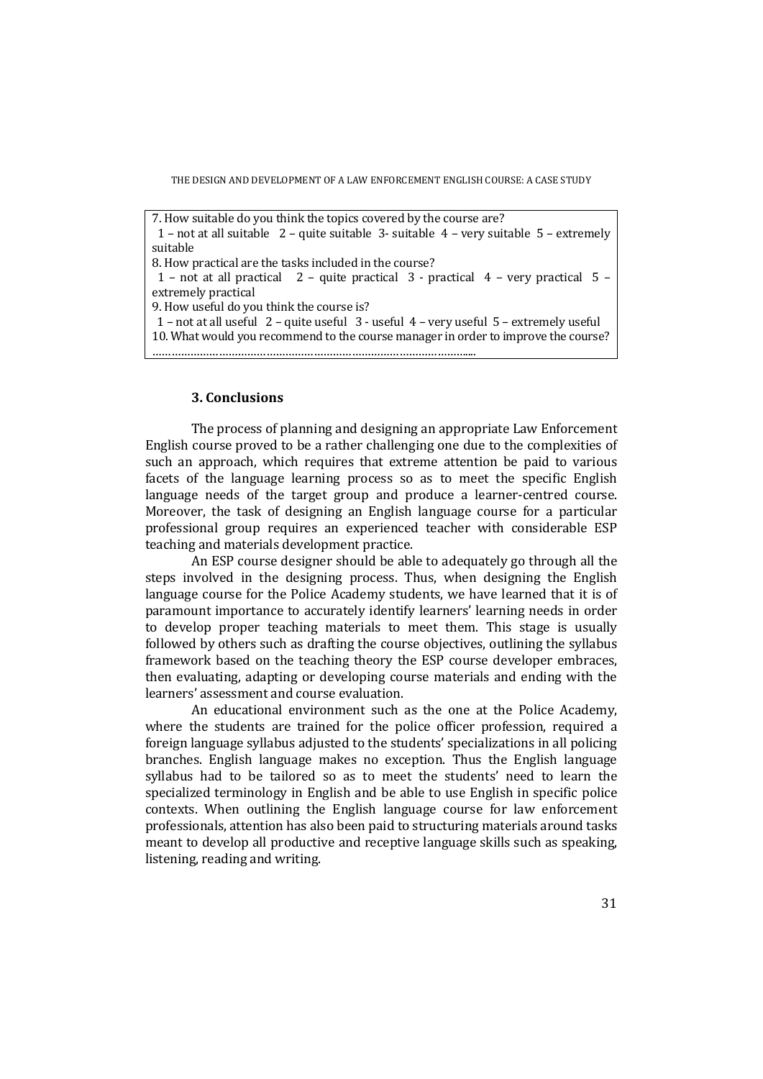7. How suitable do you think the topics covered by the course are? 1 – not at all suitable 2 – quite suitable 3- suitable 4 – very suitable 5 – extremely suitable 8. How practical are the tasks included in the course? 1 – not at all practical  $2$  – quite practical 3 - practical  $4$  – very practical 5 – extremely practical 9. How useful do you think the course is? 1 – not at all useful 2 – quite useful 3 - useful 4 – very useful 5 – extremely useful 10. What would you recommend to the course manager in order to improve the course? ………………………………………………………………………………………....

### **3. Conclusions**

 The process of planning and designing an appropriate Law Enforcement English course proved to be a rather challenging one due to the complexities of such an approach, which requires that extreme attention be paid to various facets of the language learning process so as to meet the specific English language needs of the target group and produce a learner-centred course. Moreover, the task of designing an English language course for a particular professional group requires an experienced teacher with considerable ESP teaching and materials development practice.

 An ESP course designer should be able to adequately go through all the steps involved in the designing process. Thus, when designing the English language course for the Police Academy students, we have learned that it is of paramount importance to accurately identify learners' learning needs in order to develop proper teaching materials to meet them. This stage is usually followed by others such as drafting the course objectives, outlining the syllabus framework based on the teaching theory the ESP course developer embraces, then evaluating, adapting or developing course materials and ending with the learners' assessment and course evaluation.

 An educational environment such as the one at the Police Academy, where the students are trained for the police officer profession, required a foreign language syllabus adjusted to the students' specializations in all policing branches. English language makes no exception. Thus the English language syllabus had to be tailored so as to meet the students' need to learn the specialized terminology in English and be able to use English in specific police contexts. When outlining the English language course for law enforcement professionals, attention has also been paid to structuring materials around tasks meant to develop all productive and receptive language skills such as speaking, listening, reading and writing.